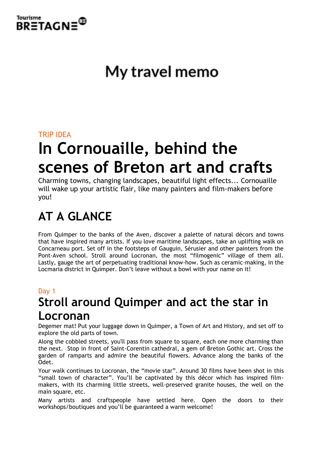

# My travel memo

### TRIP IDEA

# **In Cornouaille, behind the scenes of Breton art and crafts**

Charming towns, changing landscapes, beautiful light effects... Cornouaille will wake up your artistic flair, like many painters and film-makers before you!

## **AT A GLANCE**

From Quimper to the banks of the Aven, discover a palette of natural décors and towns that have inspired many artists. If you love maritime landscapes, take an uplifting walk on Concarneau port. Set off in the footsteps of Gauguin, Sérusier and other painters from the Pont-Aven school. Stroll around Locronan, the most "filmogenic" village of them all. Lastly, gauge the art of perpetuating traditional know-how. Such as ceramic-making, in the Locmaria district in Quimper. Don't leave without a bowl with your name on it!

### Day 1

## **Stroll around Quimper and act the star in Locronan**

Degemer mat! Put your luggage down in Quimper, a Town of Art and History, and set off to explore the old parts of town.

Along the cobbled streets, you'll pass from square to square, each one more charming than the next. Stop in front of Saint-Corentin cathedral, a gem of Breton Gothic art. Cross the garden of ramparts and admire the beautiful flowers. Advance along the banks of the Odet.

Your walk continues to Locronan, the "movie star". Around 30 films have been shot in this "small town of character". You'll be captivated by this décor which has inspired filmmakers, with its charming little streets, well-preserved granite houses, the well on the main square, etc.

Many artists and craftspeople have settled here. Open the doors to their workshops/boutiques and you'll be guaranteed a warm welcome!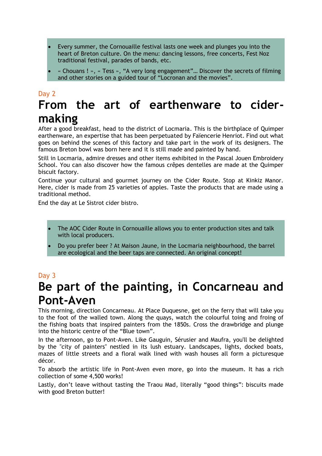- Every summer, the Cornouaille festival lasts one week and plunges you into the heart of Breton culture. On the menu: dancing lessons, free concerts, Fest Noz traditional festival, parades of bands, etc.
- « Chouans ! », « Tess », "A very long engagement"… Discover the secrets of filming and other stories on a guided tour of "Locronan and the movies".

## Day 2 **From the art of earthenware to cidermaking**

After a good breakfast, head to the district of Locmaria. This is the birthplace of Quimper earthenware, an expertise that has been perpetuated by Faïencerie Henriot. Find out what goes on behind the scenes of this factory and take part in the work of its designers. The famous Breton bowl was born here and it is still made and painted by hand.

Still in Locmaria, admire dresses and other items exhibited in the Pascal Jouen Embroidery School. You can also discover how the famous crêpes dentelles are made at the Quimper biscuit factory.

Continue your cultural and gourmet journey on the Cider Route. Stop at Kinkiz Manor. Here, cider is made from 25 varieties of apples. Taste the products that are made using a traditional method.

End the day at Le Sistrot cider bistro.

- The AOC Cider Route in Cornouaille allows you to enter production sites and talk with local producers.
- Do you prefer beer ? At Maison Jaune, in the Locmaria neighbourhood, the barrel are ecological and the beer taps are connected. An original concept!

### Day 3

## **Be part of the painting, in Concarneau and Pont-Aven**

This morning, direction Concarneau. At Place Duquesne, get on the ferry that will take you to the foot of the walled town. Along the quays, watch the colourful toing and froing of the fishing boats that inspired painters from the 1850s. Cross the drawbridge and plunge into the historic centre of the "Blue town".

In the afternoon, go to Pont-Aven. Like Gauguin, Sérusier and Maufra, you'll be delighted by the "city of painters" nestled in its lush estuary. Landscapes, lights, docked boats, mazes of little streets and a floral walk lined with wash houses all form a picturesque décor.

To absorb the artistic life in Pont-Aven even more, go into the museum. It has a rich collection of some 4,500 works!

Lastly, don't leave without tasting the Traou Mad, literally "good things": biscuits made with good Breton butter!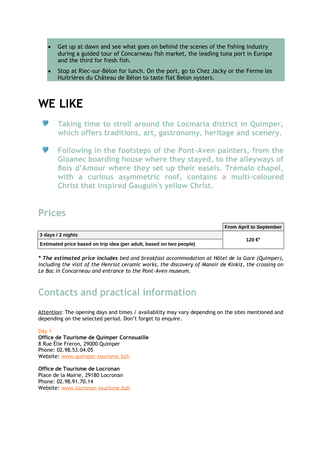- Get up at dawn and see what goes on behind the scenes of the fishing industry during a guided tour of Concarneau fish market, the leading tuna port in Europe and the third for fresh fish.
- Stop at Riec-sur-Bélon for lunch. On the port, go to Chez Jacky or the Ferme les Huitrières du Château de Bélon to taste flat Belon oysters.

## **WE LIKE**

- **Taking time to stroll around the Locmaria district in Quimper, which offers traditions, art, gastronomy, heritage and scenery.**
- **Following in the footsteps of the Pont-Aven painters, from the Gloanec boarding house where they stayed, to the alleyways of Bois d'Amour where they set up their easels. Trémalo chapel, with a curious asymmetric roof, contains a multi-coloured Christ that inspired Gauguin's yellow Christ.**

### **Prices**

|                                                                     | <b>From April to September</b> |
|---------------------------------------------------------------------|--------------------------------|
| 3 days / 2 nights                                                   | 120 €*                         |
| Estimated price based on trip idea (per adult, based on two people) |                                |

*\* The estimated price includes bed and breakfast accommodation at Hôtel de la Gare (Quimper), including the visit of the Henriot ceramic works, the discovery of Manoir de Kinkiz, the crossing on Le Bac in Concarneau and entrance to the Pont-Aven museum.*

## **Contacts and practical information**

Attention: The opening days and times / availability may vary depending on the sites mentioned and depending on the selected period. Don't forget to enquire.

Day 1 **Office de Tourisme de Quimper Cornouaille** 8 Rue Élie Freron, 29000 Quimper Phone: 02.98.53.04.05 Website: [www.quimper-tourisme.bzh](http://www.quimper-tourisme.bzh/)

**Office de Tourisme de Locronan** Place de la Mairie, 29180 Locronan Phone: 02.98.91.70.14 Website: [www.locronan-tourisme.bzh](http://www.locronan-tourisme.bzh/)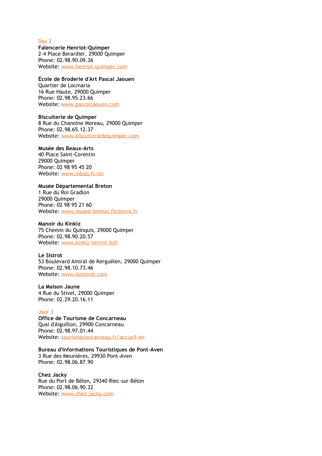Day 2

**Faïencerie Henriot-Quimper** 2-4 Place Berardier, 29000 Quimper Phone: 02.98.90.09.36 Website: [www.henriot-quimper.com](http://www.henriot-quimper.com/)

#### **École de Broderie d'Art Pascal Jaouen**

Quartier de Locmaria 16 Rue Haute, 29000 Quimper Phone: 02.98.95.23.66 Website: [www.pascaljaouen.com](http://www.pascaljaouen.com/)

**Biscuiterie de Quimper** 8 Rue du Chanoine Moreau, 29000 Quimper Phone: 02.98.65.12.37

Website: [www.biscuiteriedequimper.com](http://www.biscuiteriedequimper.com/)

#### **Musée des Beaux-Arts**

40 Place Saint-Corentin 29000 Quimper Phone: 02 98 95 45 20 Website: [www.mbaq.fr/en](http://www.mbaq.fr/en/home-3.html)

#### **Musée Départemental Breton**

1 Rue du Roi Gradlon 29000 Quimper Phone: 02 98 95 21 60 Website: [www.musee-breton.finistere.fr](http://www.musee-breton.finistere.fr/)

#### **Manoir du Kinkiz**

75 Chemin du Quinquis, 29000 Quimper Phone: 02.98.90.20.57 Website: [www.kinkiz-terroir.bzh](http://www.kinkiz-terroir.bzh/) 

#### **Le Sistrot**

53 Boulevard Amiral de Kerguélen, 29000 Quimper Phone: 02.98.10.73.46 Website: [www.lesistrot.com](http://www.lesistrot.com/)

**La Maison Jaune** 4 Rue du Stivel, 29000 Quimper Phone: 02.29.20.16.11

#### Jour 3

**Office de Tourisme de Concarneau** Quai d'Aiguillon, 29900 Concarneau Phone: 02.98.97.01.44 Website: [tourismeconcarneau.fr/accueil-en](http://tourismeconcarneau.fr/accueil-en)

**Bureau d'Informations Touristiques de Pont-Aven** 3 Rue des Meunières, 29930 Pont-Aven Phone: 02.98.06.87.90

**Chez Jacky** Rue du Port de Bélon, 29340 Riec-sur-Bélon Phone: 02.98.06.90.32 Website: [www.chez-jacky.com](http://www.chez-jacky.com/)